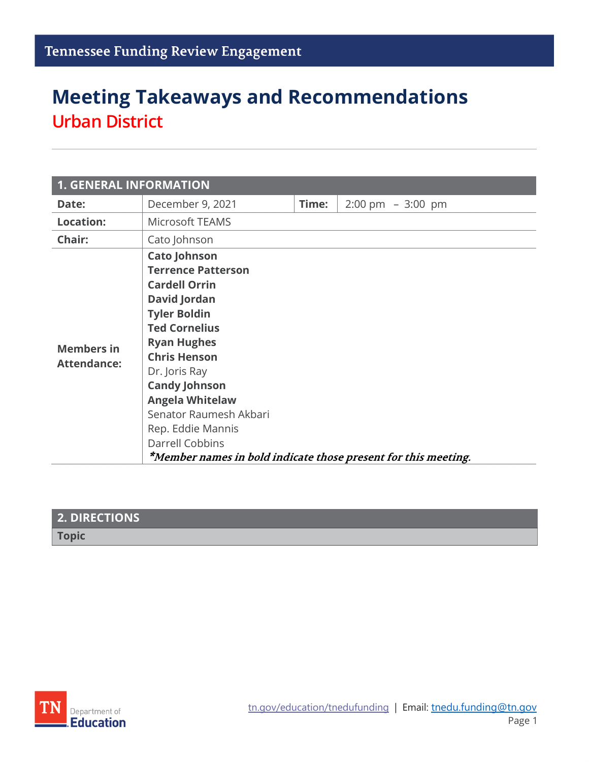# **Meeting Takeaways and Recommendations Urban District**

| <b>1. GENERAL INFORMATION</b>           |                                                                                                                                                                                                                                                                                                                                  |       |                                      |  |  |
|-----------------------------------------|----------------------------------------------------------------------------------------------------------------------------------------------------------------------------------------------------------------------------------------------------------------------------------------------------------------------------------|-------|--------------------------------------|--|--|
| Date:                                   | December 9, 2021                                                                                                                                                                                                                                                                                                                 | Time: | $2:00 \text{ pm } - 3:00 \text{ pm}$ |  |  |
| <b>Location:</b>                        | Microsoft TEAMS                                                                                                                                                                                                                                                                                                                  |       |                                      |  |  |
| Chair:                                  | Cato Johnson                                                                                                                                                                                                                                                                                                                     |       |                                      |  |  |
| <b>Members in</b><br><b>Attendance:</b> | <b>Cato Johnson</b><br><b>Terrence Patterson</b><br><b>Cardell Orrin</b><br><b>David Jordan</b><br><b>Tyler Boldin</b><br><b>Ted Cornelius</b><br><b>Ryan Hughes</b><br><b>Chris Henson</b><br>Dr. Joris Ray<br><b>Candy Johnson</b><br><b>Angela Whitelaw</b><br>Senator Raumesh Akbari<br>Rep. Eddie Mannis<br>Darrell Cobbins |       |                                      |  |  |
|                                         | *Member names in bold indicate those present for this meeting.                                                                                                                                                                                                                                                                   |       |                                      |  |  |

| $\,$ 2. DIRECTIONS $^{\dagger}$ |  |
|---------------------------------|--|
| <b>Topic</b>                    |  |
|                                 |  |

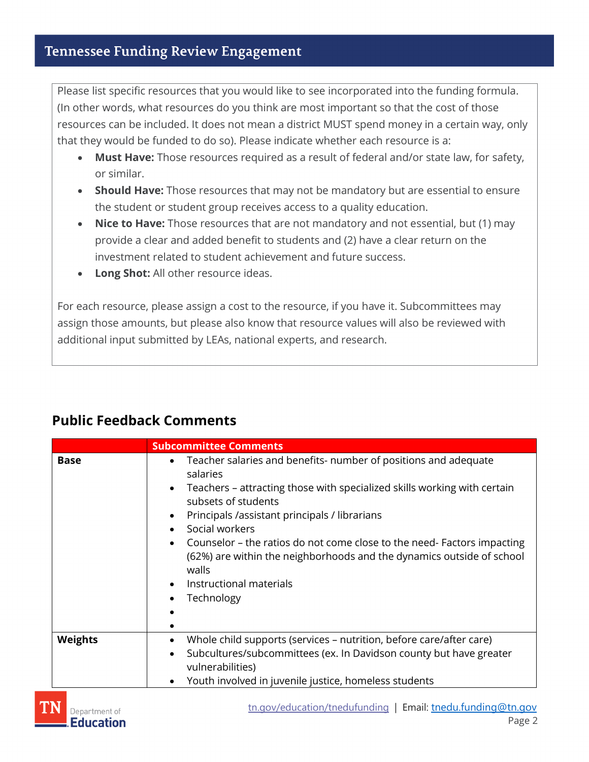Please list specific resources that you would like to see incorporated into the funding formula. (In other words, what resources do you think are most important so that the cost of those resources can be included. It does not mean a district MUST spend money in a certain way, only that they would be funded to do so). Please indicate whether each resource is a:

- **Must Have:** Those resources required as a result of federal and/or state law, for safety, or similar.
- **Should Have:** Those resources that may not be mandatory but are essential to ensure the student or student group receives access to a quality education.
- **Nice to Have:** Those resources that are not mandatory and not essential, but (1) may provide a clear and added benefit to students and (2) have a clear return on the investment related to student achievement and future success.
- **Long Shot:** All other resource ideas.

For each resource, please assign a cost to the resource, if you have it. Subcommittees may assign those amounts, but please also know that resource values will also be reviewed with additional input submitted by LEAs, national experts, and research.

#### **Public Feedback Comments**

|                | <b>Subcommittee Comments</b>                                                                                                                                                                                                                                                                                                                                                                                                                                                                                                           |  |  |
|----------------|----------------------------------------------------------------------------------------------------------------------------------------------------------------------------------------------------------------------------------------------------------------------------------------------------------------------------------------------------------------------------------------------------------------------------------------------------------------------------------------------------------------------------------------|--|--|
| <b>Base</b>    | Teacher salaries and benefits- number of positions and adequate<br>$\bullet$<br>salaries<br>Teachers - attracting those with specialized skills working with certain<br>$\bullet$<br>subsets of students<br>Principals / assistant principals / librarians<br>$\bullet$<br>Social workers<br>Counselor – the ratios do not come close to the need- Factors impacting<br>$\bullet$<br>(62%) are within the neighborhoods and the dynamics outside of school<br>walls<br>Instructional materials<br>$\bullet$<br>Technology<br>$\bullet$ |  |  |
| <b>Weights</b> | Whole child supports (services - nutrition, before care/after care)<br>$\bullet$<br>Subcultures/subcommittees (ex. In Davidson county but have greater<br>$\bullet$<br>vulnerabilities)<br>Youth involved in juvenile justice, homeless students<br>$\bullet$                                                                                                                                                                                                                                                                          |  |  |

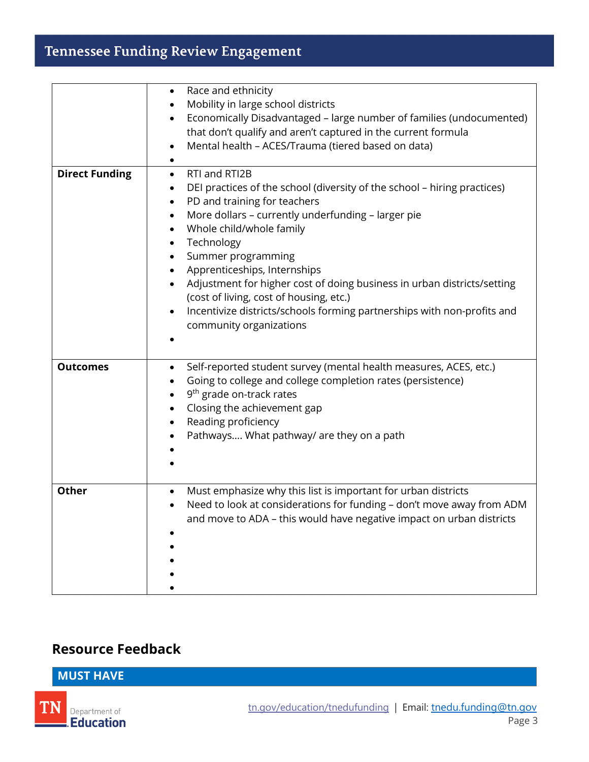## **Tennessee Funding Review Engagement**

|                       | Race and ethnicity<br>$\bullet$<br>Mobility in large school districts                                                                                                                                                                                                                                                                                                                                                                                                                                                                                                                  |
|-----------------------|----------------------------------------------------------------------------------------------------------------------------------------------------------------------------------------------------------------------------------------------------------------------------------------------------------------------------------------------------------------------------------------------------------------------------------------------------------------------------------------------------------------------------------------------------------------------------------------|
|                       | Economically Disadvantaged - large number of families (undocumented)<br>$\bullet$<br>that don't qualify and aren't captured in the current formula<br>Mental health - ACES/Trauma (tiered based on data)                                                                                                                                                                                                                                                                                                                                                                               |
|                       |                                                                                                                                                                                                                                                                                                                                                                                                                                                                                                                                                                                        |
| <b>Direct Funding</b> | RTI and RTI2B<br>$\bullet$<br>DEI practices of the school (diversity of the school - hiring practices)<br>٠<br>PD and training for teachers<br>$\bullet$<br>More dollars - currently underfunding - larger pie<br>Whole child/whole family<br>Technology<br>$\bullet$<br>Summer programming<br>$\bullet$<br>Apprenticeships, Internships<br>٠<br>Adjustment for higher cost of doing business in urban districts/setting<br>(cost of living, cost of housing, etc.)<br>Incentivize districts/schools forming partnerships with non-profits and<br>$\bullet$<br>community organizations |
| <b>Outcomes</b>       | Self-reported student survey (mental health measures, ACES, etc.)<br>$\bullet$<br>Going to college and college completion rates (persistence)<br>٠<br>9 <sup>th</sup> grade on-track rates<br>$\bullet$<br>Closing the achievement gap<br>٠<br>Reading proficiency<br>$\bullet$<br>Pathways What pathway/ are they on a path                                                                                                                                                                                                                                                           |
| <b>Other</b>          | Must emphasize why this list is important for urban districts<br>$\bullet$<br>Need to look at considerations for funding - don't move away from ADM<br>$\bullet$<br>and move to ADA - this would have negative impact on urban districts                                                                                                                                                                                                                                                                                                                                               |

### **Resource Feedback**

**MUST HAVE**